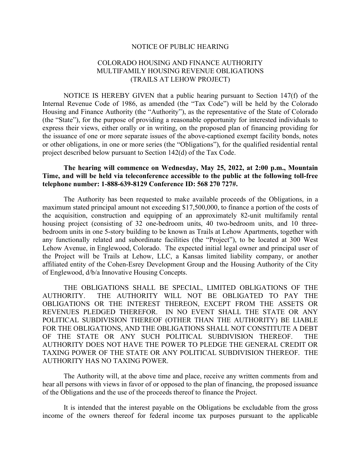## NOTICE OF PUBLIC HEARING

## COLORADO HOUSING AND FINANCE AUTHORITY MULTIFAMILY HOUSING REVENUE OBLIGATIONS (TRAILS AT LEHOW PROJECT)

NOTICE IS HEREBY GIVEN that a public hearing pursuant to Section 147(f) of the Internal Revenue Code of 1986, as amended (the "Tax Code") will be held by the Colorado Housing and Finance Authority (the "Authority"), as the representative of the State of Colorado (the "State"), for the purpose of providing a reasonable opportunity for interested individuals to express their views, either orally or in writing, on the proposed plan of financing providing for the issuance of one or more separate issues of the above-captioned exempt facility bonds, notes or other obligations, in one or more series (the "Obligations"), for the qualified residential rental project described below pursuant to Section 142(d) of the Tax Code.

## The hearing will commence on Wednesday, May 25, 2022, at 2:00 p.m., Mountain Time, and will be held via teleconference accessible to the public at the following toll-free telephone number: 1-888-639-8129 Conference ID: 568 270 727#.

The Authority has been requested to make available proceeds of the Obligations, in a maximum stated principal amount not exceeding \$17,500,000, to finance a portion of the costs of the acquisition, construction and equipping of an approximately 82-unit multifamily rental housing project (consisting of 32 one-bedroom units, 40 two-bedroom units, and 10 threebedroom units in one 5-story building to be known as Trails at Lehow Apartments, together with any functionally related and subordinate facilities (the "Project"), to be located at 300 West Lehow Avenue, in Englewood, Colorado. The expected initial legal owner and principal user of the Project will be Trails at Lehow, LLC, a Kansas limited liability company, or another affiliated entity of the Cohen-Esrey Development Group and the Housing Authority of the City of Englewood, d/b/a Innovative Housing Concepts.

THE OBLIGATIONS SHALL BE SPECIAL, LIMITED OBLIGATIONS OF THE AUTHORITY. THE AUTHORITY WILL NOT BE OBLIGATED TO PAY THE OBLIGATIONS OR THE INTEREST THEREON, EXCEPT FROM THE ASSETS OR REVENUES PLEDGED THEREFOR. IN NO EVENT SHALL THE STATE OR ANY POLITICAL SUBDIVISION THEREOF (OTHER THAN THE AUTHORITY) BE LIABLE FOR THE OBLIGATIONS, AND THE OBLIGATIONS SHALL NOT CONSTITUTE A DEBT OF THE STATE OR ANY SUCH POLITICAL SUBDIVISION THEREOF. THE AUTHORITY DOES NOT HAVE THE POWER TO PLEDGE THE GENERAL CREDIT OR TAXING POWER OF THE STATE OR ANY POLITICAL SUBDIVISION THEREOF. THE AUTHORITY HAS NO TAXING POWER.

The Authority will, at the above time and place, receive any written comments from and hear all persons with views in favor of or opposed to the plan of financing, the proposed issuance of the Obligations and the use of the proceeds thereof to finance the Project.

It is intended that the interest payable on the Obligations be excludable from the gross income of the owners thereof for federal income tax purposes pursuant to the applicable